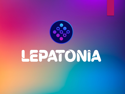

# LEPATONIA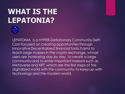## **WHAT IS THE LEPATONIA?**



LEPATONIA is a HYPER-Deflationary Community DeFi Coin focused on creating opportunitiesthrough innovativeDecentralized financial tools.It aims to reach large masses in the crypto exchange, whose users are increasing day by day, to create a large community and to enter important markets such as Metaverse and NFT, which are the first steps of the digitalized world with this community, to keep up with technology and the modern world.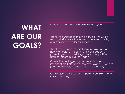## **WHAT ARE OUR GOALS?**

Lepatonia is a token built on a win-win system.

Thanks to our large marketing network, we will be working to increase the value of the token day by day by reaching wider audiences.

Thanks to our social media team, we aim to bring new members to the community by frequently promoting and advertising on important platforms such as Telegram, Twitter, Reddit..

One of the our biggest goals are to show up in important markets such as Metaverse and NFT and to prioritize valuable members of our community.

Our biggest goal is to have a permanent place in the crypto exchange.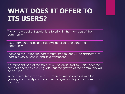#### **WHAT DOES IT OFFER TO ITS USERS?**

The primary goal of Lepatonia is to bring in the members of the community.

Taxes from purchases and sales will be used to expand the community.

Thanks to the Reflect Holders feature, free tokens will be distributed to users in every purchase and sale transaction.

An important part of the tax cuts will be distributed to users under the name of charity by drawing lots, thus the growth of the community will be ensured.

In the future, Metaverse and NFT markets will be entered with the growing community and priority will be given to Lepatonia community members.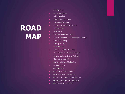### **ROAD MAP**

#### **>> PHASE 1 <<**

- **Market Research**
- **EXECUTE:** Token Creation
- Website Development
- Whitepaper Release
- **EXECONDUCTER** Contract Reliability was tested
	- **>> PHASE 2 <<**
- $\blacktriangleright$  Fairlaunch
- ▶ PancakeSwap (V2) listing
- Start of our continuous marketing campaign
- **EXEC** CoinGecko listing
- **Airdropevents** 
	- **>> PHASE 3 <<**
- **International Charity Events**
- Reaching 5k members on Telegram
- Reaching 5k members on Twitter
- **EXECO:** Coinmarket cap listing
- Donate a total of 10k Sapling
- **Airdrop Events**

#### **>> PHASE 4 <<**

- **LOTERY & STAKING LAUNCH**
- Donate a total of 10k Sapling
- Reaching 20k members on Telegram
- Reaching 10k members on Twitter
- **EX** CEX and other DEX listings